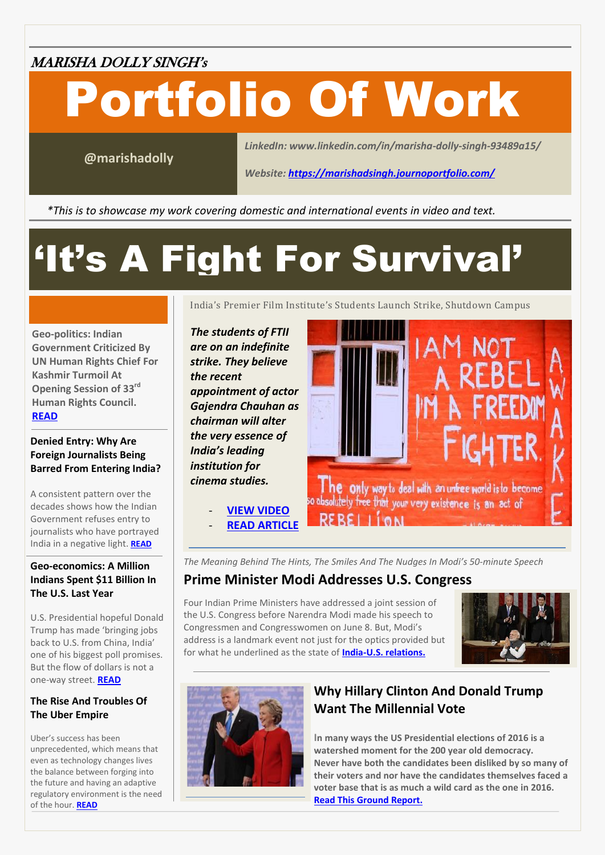#### MARISHA DOLLY SINGH'<sup>s</sup>

# Portfolio Of Work

**@marishadolly**

*LinkedIn: www.linkedin.com/in/marisha-dolly-singh-93489a15/*

*Website:<https://marishadsingh.journoportfolio.com/>*

*\*This is to showcase my work covering domestic and international events in video and text. Twitter*

## 'It's A Fight For Survival'

**Geo-politics: Indian Government Criticized By UN Human Rights Chief For Kashmir Turmoil At Opening Session of 33rd Human Rights Council. [READ](https://www.boomlive.in/opening-statement-by-united-nations-high-commissioner-for-human-rights-slams-indian-government-on-kashmir-turmoil/)**

#### **Denied Entry: Why Are Foreign Journalists Being Barred From Entering India?**

A consistent pattern over the decades shows how the Indian Government refuses entry to journalists who have portrayed India in a negative light. **[READ](https://www.boomlive.in/denied-entry-why-foreign-journalists-are-being-barred-from-coming-into-india/)**

#### **Geo-economics: A Million Indians Spent \$11 Billion In The U.S. Last Year**

U.S. Presidential hopeful Donald Trump has made 'bringing jobs back to U.S. from China, India' one of his biggest poll promises. But the flow of dollars is not a one-way street. **[READ](https://www.boomlive.in/why-the-u-s-is-courting-indian-tourists/)**

#### **The Rise And Troubles Of The Uber Empire**

even as technology changes lives<br>the balance between forging into Uber's success has been unprecedented, which means that even as technology changes lives the future and having an adaptive regulatory environment is the need of the hour. **[READ](http://www.gatewayhouse.in/the-rise-of-the-uber-empire/)**

India's Premier Film Institute's Students Launch Strike, Shutdown Campus

*The students of FTII are on an indefinite strike. They believe the recent appointment of actor Gajendra Chauhan as chairman will alter the very essence of India's leading institution for cinema studies.*

- **[VIEW VIDEO](https://www.youtube.com/watch?v=4Fi16vgT1kk&t=6s)**

**[READ ARTICLE](https://www.boomlive.in/the-ukraine-crisis-in-a-nutshell/)** 



*The Meaning Behind The Hints, The Smiles And The Nudges In Modi's 50-minute Speech*

#### **Prime Minister Modi Addresses U.S. Congress**

Four Indian Prime Ministers have addressed a joint session of the U.S. Congress before Narendra Modi made his speech to Congressmen and Congresswomen on June 8. But, Modi's address is a landmark event not just for the optics provided but for what he underlined as the state of **[India-U.S. relations.](https://www.boomlive.in/modis-address-to-the-u-s-congress/)**





#### **Why Hillary Clinton And Donald Trump Want The Millennial Vote**

**In many ways the US Presidential elections of 2016 is a watershed moment for the 200 year old democracy. Never have both the candidates been disliked by so many of their voters and nor have the candidates themselves faced a voter base that is as much a wild card as the one in 2016. Read This [Ground Report.](https://www.boomlive.in/building-a-bridge-to-the-future-towards-a-feminist-un/)**